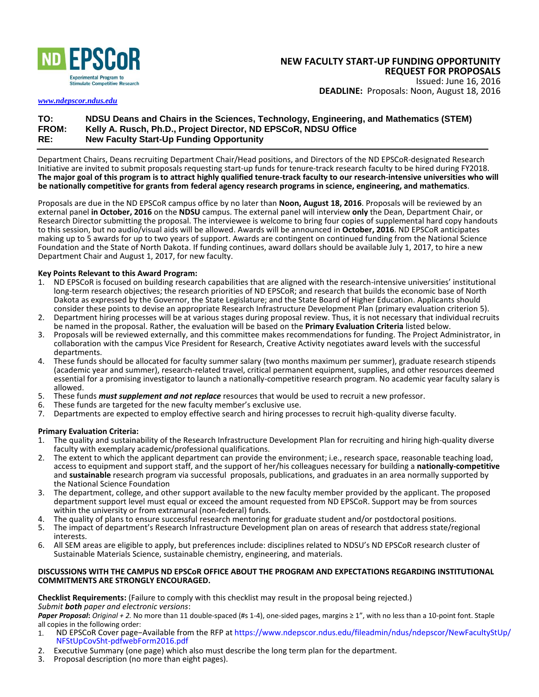

#### **NEW FACULTY START-UP FUNDING OPPORTUNITY REQUEST FOR PROPOSALS**  Issued: June 16, 2016

**DEADLINE:** Proposals: Noon, August 18, 2016

*[www.ndepscor.ndus.edu](http://www.ndepscor.ndus.edu/)*

# **TO: NDSU Deans and Chairs in the Sciences, Technology, Engineering, and Mathematics (STEM) FROM: Kelly A. Rusch, Ph.D., Project Director, ND EPSCoR, NDSU Office RE: New Faculty Start-Up Funding Opportunity**

Department Chairs, Deans recruiting Department Chair/Head positions, and Directors of the ND EPSCoR-designated Research Initiative are invited to submit proposals requesting start-up funds for tenure-track research faculty to be hired during FY2018. **The major goal of this program is to attract highly qualified tenure-track faculty to our research-intensive universities who will be nationally competitive for grants from federal agency research programs in science, engineering, and mathematics**.

Proposals are due in the ND EPSCoR campus office by no later than **Noon, August 18, 2016**. Proposals will be reviewed by an external panel **in October, 2016** on the **NDSU** campus. The external panel will interview **only** the Dean, Department Chair, or Research Director submitting the proposal. The interviewee is welcome to bring four copies of supplemental hard copy handouts to this session, but no audio/visual aids will be allowed. Awards will be announced in **October, 2016**. ND EPSCoR anticipates making up to 5 awards for up to two years of support. Awards are contingent on continued funding from the National Science Foundation and the State of North Dakota. If funding continues, award dollars should be available July 1, 2017, to hire a new Department Chair and August 1, 2017, for new faculty.

# **Key Points Relevant to this Award Program:**

- 1. ND EPSCoR is focused on building research capabilities that are aligned with the research-intensive universities' institutional long-term research objectives; the research priorities of ND EPSCoR; and research that builds the economic base of North Dakota as expressed by the Governor, the State Legislature; and the State Board of Higher Education. Applicants should consider these points to devise an appropriate Research Infrastructure Development Plan (primary evaluation criterion 5).
- 2. Department hiring processes will be at various stages during proposal review. Thus, it is not necessary that individual recruits be named in the proposal. Rather, the evaluation will be based on the **Primary Evaluation Criteria** listed below.
- 3. Proposals will be reviewed externally, and this committee makes recommendations for funding. The Project Administrator, in collaboration with the campus Vice President for Research, Creative Activity negotiates award levels with the successful departments.
- 4. These funds should be allocated for faculty summer salary (two months maximum per summer), graduate research stipends (academic year and summer), research-related travel, critical permanent equipment, supplies, and other resources deemed essential for a promising investigator to launch a nationally-competitive research program. No academic year faculty salary is allowed.
- 5. These funds *must supplement and not replace* resources that would be used to recruit a new professor.
- 6. These funds are targeted for the new faculty member's exclusive use.
- 7. Departments are expected to employ effective search and hiring processes to recruit high-quality diverse faculty.

## **Primary Evaluation Criteria:**

- 1. The quality and sustainability of the Research Infrastructure Development Plan for recruiting and hiring high-quality diverse faculty with exemplary academic/professional qualifications.
- 2. The extent to which the applicant department can provide the environment; i.e., research space, reasonable teaching load, access to equipment and support staff, and the support of her/his colleagues necessary for building a **nationally-competitive** and **sustainable** research program via successful proposals, publications, and graduates in an area normally supported by the National Science Foundation
- 3. The department, college, and other support available to the new faculty member provided by the applicant. The proposed department support level must equal or exceed the amount requested from ND EPSCoR. Support may be from sources within the university or from extramural (non-federal) funds.
- 4. The quality of plans to ensure successful research mentoring for graduate student and/or postdoctoral positions.
- 5. The impact of department's Research Infrastructure Development plan on areas of research that address state/regional interests.
- 6. All SEM areas are eligible to apply, but preferences include: disciplines related to NDSU's ND EPSCoR research cluster of Sustainable Materials Science, sustainable chemistry, engineering, and materials.

## **DISCUSSIONS WITH THE CAMPUS ND EPSCoR OFFICE ABOUT THE PROGRAM AND EXPECTATIONS REGARDING INSTITUTIONAL COMMITMENTS ARE STRONGLY ENCOURAGED.**

**Checklist Requirements:** (Failure to comply with this checklist may result in the proposal being rejected.) *Submit both paper and electronic versions*:

*Paper Proposal***:** *Original + 2.* No more than 11 double-spaced (#s 1-4), one-sided pages, margins ≥ 1", with no less than a 10-point font. Staple all copies in the following order:<br>1. ND EPSCoR Cover page-

- 1. ND EPSCoR Cover page−Available from the RFP at https://www.ndepscor.ndus.edu/fileadmin/ndus/ndepscor/NewFacultyStUp/ NFStUpCovSht-pdfwebForm2016.pdf
- 2. Executive Summary (one page) which also must describe the long term plan for the department.<br>3. Proposal description (no more than eight pages).
- 3. Proposal description (no more than eight pages).